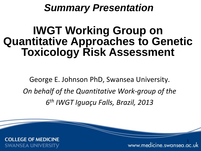## *Summary Presentation*

# **IWGT Working Group on Quantitative Approaches to Genetic Toxicology Risk Assessment**

George E. Johnson PhD, Swansea University. *On behalf of the Quantitative Work-group of the 6th IWGT Iguaçu Falls, Brazil, 2013*

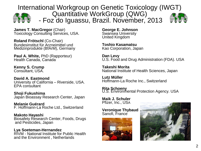International Workgroup on Genetic Toxicology (IWGT)<br>Quantitative WorkGroup (QWG)



- Foz do Iguassu, Brazil. November, 2013



**James T. MacGregor** (Chair) Toxicology Consulting Services, USA.

**Roland Frötschl** (Co-Chair) Bundesinstitut für Arzneimittel und Medizinprodukte (BfArM), Germany

**Paul A. White, PhD (Rapporteur)** Health Canada, Canada

**Kenny S. Crump** Consultant, USA.

**David A. Eastmond** University of California – Riverside, USA. EPA consultant

**Shoji Fukushima** Japan Bioassay Research Center, Japan

**Melanie Guérard** F. Hoffmann-La Roche Ltd., Switzerland

**Makoto Hayashi** Biosafety Research Center, Foods, Drugs and Pesticides, Japan

**Lya Soeteman-Hernandez** RIVM - National Institute for Public Health and the Environment , Netherlands

**George E. Johnson** Swansea University United Kingdom

**Toshio Kasamatsu** Kao Corporation, Japan

**Dan Levy**<br>U.S. Food and Drug Administration (FDA). USA

**Takeshi Morita** National Institute of Health Sciences, Japan

**Lutz Müller** Hoffmann-La Roche Inc., Switzerland

**Rita Schoeny**<br>U.S. Environmental Protection Agency. USA

**Maik J. Schuler** Pfizer, Inc., USA

**Veronique Thybaud** Sanofi, France



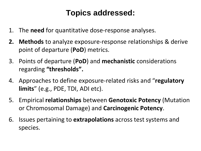#### **Topics addressed:**

- 1. The **need** for quantitative dose-response analyses.
- **2. Methods** to analyze exposure-response relationships & derive point of departure (**PoD**) metrics.
- 3. Points of departure (**PoD**) and **mechanistic** considerations regarding **"thresholds".**
- 4. Approaches to define exposure-related risks and "**regulatory limits**" (e.g., PDE, TDI, ADI etc).
- 5. Empirical **relationships** between **Genotoxic Potency** (Mutation or Chromosomal Damage) and **Carcinogenic Potency**.
- 6. Issues pertaining to **extrapolations** across test systems and species.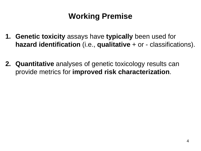### **Working Premise**

- **1. Genetic toxicity** assays have **typically** been used for **hazard identification** (i.e., **qualitative** + or - classifications).
- **2. Quantitative** analyses of genetic toxicology results can provide metrics for **improved risk characterization**.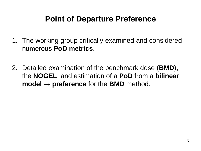#### **Point of Departure Preference**

- 1. The working group critically examined and considered numerous **PoD metrics**.
- 2. Detailed examination of the benchmark dose (**BMD**), the **NOGEL**, and estimation of a **PoD** from a **bilinear model** → **preference** for the **BMD** method.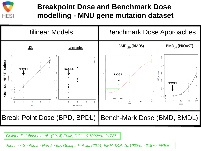

#### **Breakpoint Dose and Benchmark Dose modelling - MNU gene mutation dataset**



*Gollapudi, Johnson et al., (2014) EMM, DOI: 10.1002/em.21727*

*Johnson, Soeteman-Hernández, Gollapudi et al., (2014) EMM, DOI: 10.1002/em.21870, FREE*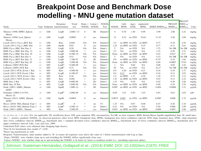#### **Breakpoint Dose and Benchmark Dose modelling - MNU gene mutation dataset**

|                                         |     |           |                              |              |        |                          |                |              |             |               |             |                               |        | PROAST      |       |
|-----------------------------------------|-----|-----------|------------------------------|--------------|--------|--------------------------|----------------|--------------|-------------|---------------|-------------|-------------------------------|--------|-------------|-------|
|                                         |     |           | Response                     | Trend        |        | $Slope <$ Linear < NOGEL |                |              | L&L         | mgcv          | segmented   |                               | PROAST | $3MDU_{10}$ |       |
| Study                                   |     |           | Type Endpoint transformation | test         |        | NOGEL NOGEL              | Test           | <b>NOGEL</b> | <b>BPDL</b> | <b>STDL</b>   | <b>BPDL</b> | BMDS $BMDS_{1SD}$ $BMDL_{10}$ |        | $BMDL_{10}$ | Units |
| Monroe (1998) HPRT_Spleen<br>Mouse      | vv  | GM        | LogR                         | $2.80E + 13$ | 0      | ID                       | Dunnett        | 5            | 0.78        | 1.40          | 0.98        | 3.90                          | 2.06   | 2.32        | mg/kg |
| Monroe (1998) LacI Spleen<br>Mouse      | vv  | GM        | LogR                         | 0.0005       | 0      | yes                      | Dunnett        | 15           | 8.22        | no STD        | 10.62       | 11.53                         | 5.26   | 3.09        | mg/kg |
| Lynch (2011) Pig-a RET Rat              | vv  | GМ        | Raw                          | 0.048        | NA     | NA                       | Dunnett        | 2.5          |             | no BPD no STD | no BPD      | 0.77                          | 0.10   | 4.54        | mg/kg |
| Lynch (2011) Pig-a_RBC Rat              | W   | <b>GM</b> | SqrtR                        | 0.02         | 0      | yes                      | Dunnett        | 1.25         | no BPD      | no STD        | 0.19        | 0.77                          | 0.11   | 2.61        | mg/kg |
| BMS Pig-a RBC Rat Day 4                 | vv  | GM        | LogR                         | 0.26         | NA     | NA                       | Dunn's         | 5            | NA          | no STD        | NA          | 3.75                          | No DR  | No DR       | mg/kg |
| BMS Pig-a_RBC Rat Day 15                | vv  | GM        | LogR                         | 3.00E-06     | $+$    | yes                      | Dunn's         | 2.5          | NA          | no STD        | <b>NA</b>   | 1.57                          | 0.20   | 1.51        | mg/kg |
| BMS Pig-a_RBC Rat Day 29                | W   | GM        | LogR                         | 8.50E-10     | NA.    | <b>NA</b>                | Dunnett        | None         | no BPD      | no STD        | no BPD      | 0.43                          | 0.015  | 8.71        | mg/kg |
| BMS Pig-a RET Rat Day 4                 | νv  | GM        | LogR                         | 0.53         | NA     | NA                       | Dunn's         | 5            | NA          | no STD        | NA          | 4.33                          | No DR  | No DR       | mg/kg |
| BMS Pig-a_RET Rat Day 15                | vv  | GM        | LogR                         | 1.70E-07     | 0      | ID                       | Dunnett        | 0.9          | no BPD      | no STD        | no BPD      | 0.74 <sup>n</sup>             | 0.10   | 1.64        | mg/kg |
| BMS Pig-a_RET Rat Day 29                | W   | <b>GM</b> | LogR                         | 3.50E-08     | NA     | NA                       | Dunnett        | None         | no BPD      | no STD        | no BPD      | 0.69                          | 0.0007 | 75.01       | mg/kg |
| LeBaron (2009) PCE Rat                  | νv  | MN        | LogR <sup>b</sup>            | 9.20E-09     | $^{+}$ | yes                      | Dunn's         |              | NA          | 0.60          | NA          | 0.08                          | 0.02   | 2.42        | mg/kg |
| LeBaron (2009) NCE Rat                  | vv  | MN        | LogR <sup>b</sup>            | 0.75         | NА     | NA                       | Dunn's         | 50           | NA          | no STD        | NA          | 42.2 <sup>n</sup>             | No DR  | No DR       | mg/kg |
| Lynch (2011) PCE Event 1 Rat            | νv  | MN        | Raw                          | 4.50E-06     | $^{+}$ | yes                      | Dunnett        | 0.9          | 0.20        | no STD        | 0.27        | 0.16                          | 0.10   | 1.37        | mg/kg |
| Lynch (2011) PCE Event 2 Rat            | νv. | MN        | LogR                         | 6.10E-07     | $^{+}$ | yes                      | Dunnett        | 0.6          | 0.15        | no STD        | no BPD      | 0.16                          | 0.13   | 3.03        | mg/kg |
| Lynch (2011) NCE Event 1 Rat            | vv  | MN        | Raw                          | 0.36         | NA     | NA                       | Dunnett        | 2.5          | no BPD      | 1.17          | 0.30        | 1.30                          | 0.73   | 3.12        | mg/kg |
| Lynch (2011) NCE_Event 2 Rat            | νv  | MN        | Raw                          | 0.002        | $^{+}$ | yes                      | Dunnett        | 1.25         | no BPD      | no STD        | no BPD      | 0.43                          | 0.13   | 2.22        | mg/kg |
| BMS Day 4 Rat                           | νv  | MN        | LogR                         | 8.80E-09     | $^{+}$ | ID                       | Dunn's         | 1.25         | NA          | 0.56          | NA          | 0.42                          | 0.30   | 2.66        | mg/kg |
| BMS Day 29 Rat                          | vv  | MN        | LogR                         | 3.60E-09     | NA     | NA                       | Dunnett        | None         |             | no BPD no STD | no BPD      | 0.40                          | 0.18   | 3.55        | mg/kg |
| Doak (2007) AHH1_Human<br><b>HPRT</b>   | vr  | GM        | SqrtR                        | 1.00E-14     | $^{+}$ | ID                       | Dunnett        | 0.005        |             | no BPD no STD | no BPD      | 0.004                         | 0.0006 | 1.51        | µg/mL |
| Pottenger (2009) L5178Y<br>Mouse Tk     | vt  | GМ        | Log R <sup>b</sup>           | 2.00E-08     | 0      | ves                      | Dunnett        | 0.69         | 1.01        | 0.49          | 1.03        | 0.83                          | 0.61   | 2.03        | μM    |
| Thomas (2013) AHH1 Human<br><b>HPRT</b> | w   | GM        | SqrtR                        | 0.0004       | 0      | no                       | Dunnett        | 0.0075       | 0.002       | no STD        | no BPD      | 0.008 <sup>3</sup>            | 0.006  | 1.33        | µg/mL |
| Bryce (2010) TK6_Human Expt 1           | W   | MN        | LogR <sup>b</sup>            | 0            | $^{+}$ | no                       | T <sub>3</sub> | 1.25         | NA          | 0.07          | 0.08        | 0.47                          | 0.26   | 2.10        | µg/mL |
| Bryce (2010) TK6 Human Expt 2           | W   | MN        | LogR <sup>b</sup>            | 4.50E-14     | $^+$   | no                       | Dunn's         | 0.23         | NA          | no STD        | <b>NA</b>   | 0.20                          | 0.066  | 1.09        | µg/mL |
| Doak (2007) AHH1 Human                  | vr  | MN        | Raw                          | 2.50E-09     | ÷      | ves                      | Dunnett        | 0.025        |             | no BPD no STD | no BPD      | 0.008                         | 0.003  | 2.80        | µg/mL |

vv, in vivo; vt, = in vitro; NA, not applicable; ID, insufficient doses; GM, gene mutation; MN, micronucleus; No DR, no dose response, BMS, Bristol-Myers Squibb unpublished data; SI, small intestine; +, positive gradient; NOGEL, no observed genotoxic effect level; BPD, breakpoint dose; BPDL, breakpoint dose lower confidence interval; STD, slope transition dose; STDL, slope transition dose lower confidence interval; BMDL<sub>1SD</sub>, benchmark dose 1 standard deviation lower confidence interval; BMDL<sub>10</sub>, benchmark dose 10 lower confidence interval, BMDU<sub>10</sub>, benchmark dose 10 upper confidence interval; L&L, Lutz and Lutz, 2009.

Underlined PoD values were obtained after dropping high dose(s).

<sup>a</sup>Poor fit for benchmark dose model,  $P < 0.05$ .

<sup>b</sup>Doses log transformed as well.

Response Transformation, same number added to 'R' to ensure all responses were above the value of 1 before transformation with Log or Sqrt.

'Slope<NOGEL' tests whether slope up to and including the NOGEL differs significantly from zero.

'Linear<NOGEL' tests whether slope up to and including the NOGEL is fit better by linear or nonlinear model (i.e., smoothing regression spline).

*Johnson, Soeteman-Hernández, Gollapudi et al., (2014) EMM, DOI: 10.1002/em.21870, FREE*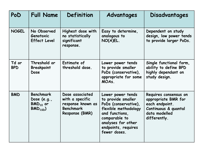| PoD                 | <b>Full Name</b>                                                  | Definition                                                                                    | Advantages                                                                                                                                                                              | Disadvantages                                                                                                           |
|---------------------|-------------------------------------------------------------------|-----------------------------------------------------------------------------------------------|-----------------------------------------------------------------------------------------------------------------------------------------------------------------------------------------|-------------------------------------------------------------------------------------------------------------------------|
| <b>NOGEL</b>        | No Observed<br>Genotoxic<br><b>Effect Level</b>                   | Highest dose with<br>no statistically<br>significant<br>response.                             | Easy to determine,<br>analogous to<br>NO(A)EL.                                                                                                                                          | Dependent on study<br>design, low power tends<br>to provide larger PoDs.                                                |
| Td or<br><b>BPD</b> | Threshold or<br><b>Breakpoint</b><br>Dose                         | Estimate of<br>threshold dose.                                                                | Lower power tends<br>to provide smaller<br>PoDs (conservative),<br>appropriate for some<br>MOA <sub>s</sub>                                                                             | Single functional form,<br>ability to define BPD<br>highly dependant on<br>study design.                                |
| <b>BMD</b>          | <b>Benchmark</b><br>Dose $(e.g.,$<br>$BMD_{10}$ or<br>$BMD_{1SD}$ | Dose associated<br>with a specific<br>response known as<br><b>Benchmark</b><br>Response (BMR) | Lower power tends<br>to provide smaller<br>PoDs (conservative),<br>flexible methodology<br>and functions,<br>comparable to<br>analyses for other<br>endpoints, requires<br>fewer doses. | Requires consensus on<br>appropriate BMR for<br>each endpoint.<br>Continuous & quantal<br>data modelled<br>differently. |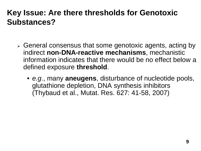#### **Key Issue: Are there thresholds for Genotoxic Substances?**

- General consensus that some genotoxic agents, acting by indirect **non-DNA-reactive mechanisms**, mechanistic information indicates that there would be no effect below a defined exposure **threshold**.
	- *e.g*., many **aneugens**, disturbance of nucleotide pools, glutathione depletion, DNA synthesis inhibitors (Thybaud et al., Mutat. Res. 627: 41-58, 2007)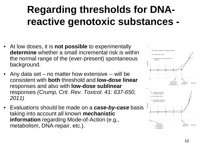# **Regarding thresholds for DNAreactive genotoxic substances -**

- At low doses, it is **not possible** to experimentally **determine** whether a small incremental risk is within the normal range of the (ever-present) spontaneous background.
- Any data set no matter how extensive -- will be consistent with **both** threshold and **low-dose linear**  responses and also with **low-dose sublinear** responses *(Crump, Crit. Rev. Toxicol. 41: 637-650, 2011)*
- Evaluations should be made on a *case-by-case* basis taking into account all known **mechanistic information** regarding Mode-of-Action (e.g., metabolism, DNA-repair, etc.).

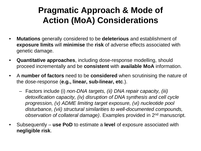### **Pragmatic Approach & Mode of Action (MoA) Considerations**

- **Mutations** generally considered to be **deleterious** and establishment of **exposure limits** will **minimise** the **risk** of adverse effects associated with genetic damage.
- **Quantitative approaches**, including dose-response modelling, should proceed incrementally and be **consistent** with **available MoA** information.
- A **number of factors** need to be **considered** when scrutinising the nature of the dose-response (**e.g., linear, sub-linear, etc**.).
	- Factors include (i) *non-DNA targets, (ii) DNA repair capacity, (iii) detoxification capacity, (iv) disruption of DNA synthesis and cell cycle progression, (v) ADME limiting target exposure, (vi) nucleotide pool disturbance, (vii) structural similarities to well-documented compounds, observation of collateral damage)*. Examples provided in 2nd manuscript.
- Subsequently **use PoD** to estimate a **level** of exposure associated with **negligible risk**.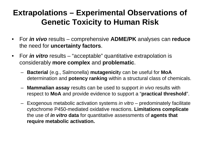#### **Extrapolations – Experimental Observations of Genetic Toxicity to Human Risk**

- For *in vivo* results comprehensive **ADME/PK** analyses can **reduce** the need for **uncertainty factors**.
- For *in vitro* results "acceptable" quantitative extrapolation is considerably **more complex** and **problematic**.
	- **Bacterial** (e.g., Salmonella) **mutagenicit**y can be useful for **MoA** determination and **potency ranking** within a structural class of chemicals.
	- **Mammalian assay** results can be used to support *in vivo* results with respect to **MoA** and provide evidence to support a "**practical threshold**".
	- Exogenous metabolic activation systems *in vitro*  predominately facilitate cytochrome P450-mediated oxidative reactions. **Limitations complicate**  the use of *in vitro* **data** for quantitative assessments of **agents that require metabolic activation.**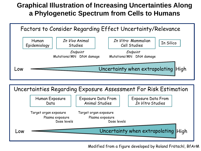#### **Graphical Illustration of Increasing Uncertainties Along a Phylogenetic Spectrum from Cells to Humans**



Uncertainties Regarding Exposure Assessment For Risk Estimation Human Exposure Data Target organ exposure Plasma exposure Exposure Data From Animal Studies Exposure Data From In Vitro Studies Dose levels Target organ exposure Plasma exposure Dose levels Low **Contract Contract Contract Contract Contract Contract Contract Contract Contract Contract Contract Contract Contract Contract Contract Contract Contract Contract Contract Contract Contract Contract Contract Contract C** 

Modified from a figure developed by Roland Frötschl, BfArM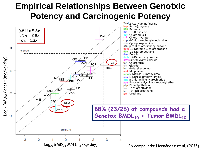#### **Empirical Relationships Between Genotxic Potency and Carcinogenic Potency**

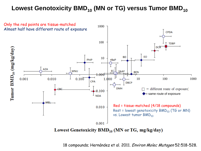#### Lowest Genotoxicity BMD<sub>10</sub> (MN or TG) versus Tumor BMD<sub>10</sub>



Lowest Genetoxicity  $BMD_{10}$  (MN or TG, mg/kg/day)

18 compounds; Hernández et al. 2011. Environ Molec Mutagen 52:518-528.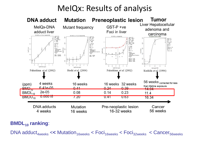### MeIQx: Results of analysis



#### **BMDL<sub>10</sub>** ranking:

DNA adduct<sub>4weeks</sub> << Mutation<sub>16weeks</sub> < Foci<sub>16weeks</sub> < Foci<sub>32weeks</sub> < Cancer<sub>56weeks</sub>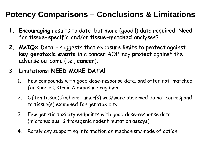#### **Potency Comparisons – Conclusions & Limitations**

- **1. Encouraging** results to date, but more (good!!) data required. **Need** for **tissue-specific** and/or **tissue-matched** analyses?
- **2. MeIQx Data**  suggests that exposure limits to **protect** against **key genotoxic events** in a cancer AOP may **protect** against the adverse outcome (i.e., **cancer**).
- 3. Limitations: **NEED MORE DATA**!
	- 1. Few compounds with good dose-response data, and often not matched for species, strain & exposure regimen.
	- 2. Often tissue(s) where tumor(s) was/were observed do not correspond to tissue(s) examined for genotoxicity.
	- 3. Few genetic toxicity endpoints with good dose-response data (micronucleus & transgenic rodent mutation assays).
	- 4. Rarely any supporting information on mechanism/mode of action.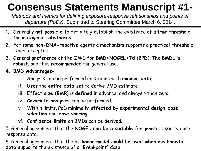# **Consensus Statements Manuscript #1-**

*Methods and metrics for defining exposure-response relationships and points of departure (PoDs)*. Submitted to Steering Committee March 6, 2014.

- 1. Generally **not possible** to definitely establish the existence of a **true threshold**  for **mutagenic substances**.
- 2. For **some non-DNA-reactive** agents a **mechanism** supports a **practical threshold**  is well accepted.
- 3. General **preference** of the QWG for **BMD>NOGEL>Td** (**BPD**). The **BMDL** is **robust**, and thus **recommended** for general use.
- **4. BMD Advantages**
	- i. Analysis can be performed on studies with **minimal data**,
	- **ii. Uses** the **entire data** set to derive BMD estimate,
	- **iii. Effect size** (BMR) is **defined** in advance, and always > than zero,
	- **iv. Covariate analyses** can be performed,
	- v. Within limits, **PoD minimally affected** by **experimental design**, **dose selection** and **dose spacing**.
	- **vi. Confidence limits** on BMDs can be derived.

5. General agreement that the **NOGEL can be a suitable** for genetic toxicity doseresponse data.

6. General agreement that the **bi-linear model could be used when mechanistic data** supports the existence of a "Breakpoint" dose.